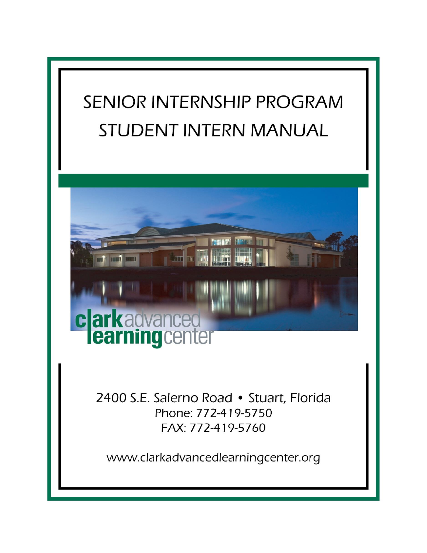# SENIOR INTERNSHIP PROGRAM **STUDENT INTERN MANUAL**



2400 S.E. Salerno Road • Stuart, Florida Phone: 772-419-5750 FAX: 772-419-5760

www.clarkadvancedlearningcenter.org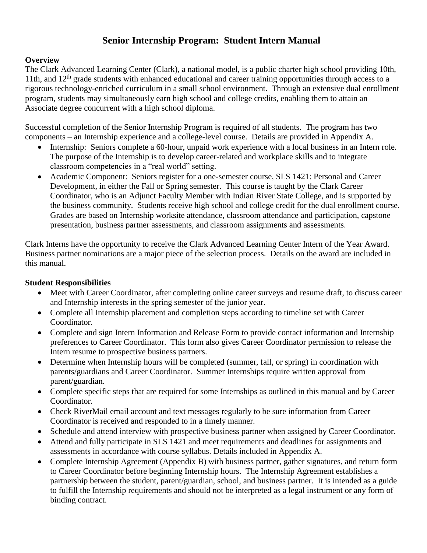## **Senior Internship Program: Student Intern Manual**

## **Overview**

The Clark Advanced Learning Center (Clark), a national model, is a public charter high school providing 10th, 11th, and  $12<sup>th</sup>$  grade students with enhanced educational and career training opportunities through access to a rigorous technology-enriched curriculum in a small school environment. Through an extensive dual enrollment program, students may simultaneously earn high school and college credits, enabling them to attain an Associate degree concurrent with a high school diploma.

Successful completion of the Senior Internship Program is required of all students. The program has two components – an Internship experience and a college-level course. Details are provided in Appendix A.

- Internship: Seniors complete a 60-hour, unpaid work experience with a local business in an Intern role. The purpose of the Internship is to develop career-related and workplace skills and to integrate classroom competencies in a "real world" setting.
- Academic Component: Seniors register for a one-semester course, SLS 1421: Personal and Career Development, in either the Fall or Spring semester. This course is taught by the Clark Career Coordinator, who is an Adjunct Faculty Member with Indian River State College, and is supported by the business community. Students receive high school and college credit for the dual enrollment course. Grades are based on Internship worksite attendance, classroom attendance and participation, capstone presentation, business partner assessments, and classroom assignments and assessments.

Clark Interns have the opportunity to receive the Clark Advanced Learning Center Intern of the Year Award. Business partner nominations are a major piece of the selection process. Details on the award are included in this manual.

## **Student Responsibilities**

- Meet with Career Coordinator, after completing online career surveys and resume draft, to discuss career and Internship interests in the spring semester of the junior year.
- Complete all Internship placement and completion steps according to timeline set with Career Coordinator.
- Complete and sign Intern Information and Release Form to provide contact information and Internship preferences to Career Coordinator. This form also gives Career Coordinator permission to release the Intern resume to prospective business partners.
- Determine when Internship hours will be completed (summer, fall, or spring) in coordination with parents/guardians and Career Coordinator. Summer Internships require written approval from parent/guardian.
- Complete specific steps that are required for some Internships as outlined in this manual and by Career Coordinator.
- Check RiverMail email account and text messages regularly to be sure information from Career Coordinator is received and responded to in a timely manner.
- Schedule and attend interview with prospective business partner when assigned by Career Coordinator.
- Attend and fully participate in SLS 1421 and meet requirements and deadlines for assignments and assessments in accordance with course syllabus. Details included in Appendix A.
- Complete Internship Agreement (Appendix B) with business partner, gather signatures, and return form to Career Coordinator before beginning Internship hours. The Internship Agreement establishes a partnership between the student, parent/guardian, school, and business partner. It is intended as a guide to fulfill the Internship requirements and should not be interpreted as a legal instrument or any form of binding contract.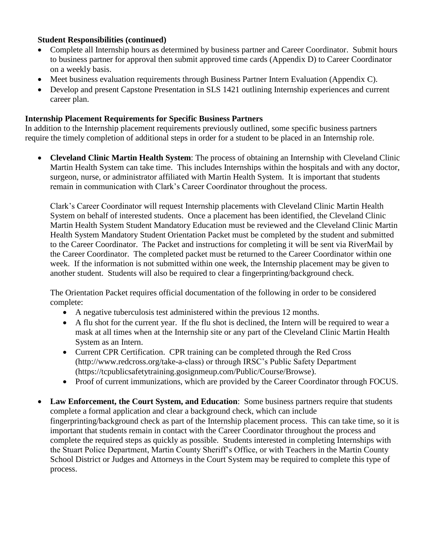## **Student Responsibilities (continued)**

- Complete all Internship hours as determined by business partner and Career Coordinator. Submit hours to business partner for approval then submit approved time cards (Appendix D) to Career Coordinator on a weekly basis.
- Meet business evaluation requirements through Business Partner Intern Evaluation (Appendix C).
- Develop and present Capstone Presentation in SLS 1421 outlining Internship experiences and current career plan.

## **Internship Placement Requirements for Specific Business Partners**

In addition to the Internship placement requirements previously outlined, some specific business partners require the timely completion of additional steps in order for a student to be placed in an Internship role.

 **Cleveland Clinic Martin Health System**: The process of obtaining an Internship with Cleveland Clinic Martin Health System can take time. This includes Internships within the hospitals and with any doctor, surgeon, nurse, or administrator affiliated with Martin Health System. It is important that students remain in communication with Clark's Career Coordinator throughout the process.

Clark's Career Coordinator will request Internship placements with Cleveland Clinic Martin Health System on behalf of interested students. Once a placement has been identified, the Cleveland Clinic Martin Health System Student Mandatory Education must be reviewed and the Cleveland Clinic Martin Health System Mandatory Student Orientation Packet must be completed by the student and submitted to the Career Coordinator. The Packet and instructions for completing it will be sent via RiverMail by the Career Coordinator. The completed packet must be returned to the Career Coordinator within one week. If the information is not submitted within one week, the Internship placement may be given to another student. Students will also be required to clear a fingerprinting/background check.

The Orientation Packet requires official documentation of the following in order to be considered complete:

- A negative tuberculosis test administered within the previous 12 months.
- A flu shot for the current year. If the flu shot is declined, the Intern will be required to wear a mask at all times when at the Internship site or any part of the Cleveland Clinic Martin Health System as an Intern.
- Current CPR Certification. CPR training can be completed through the Red Cross (http://www.redcross.org/take-a-class) or through IRSC's Public Safety Department (https://tcpublicsafetytraining.gosignmeup.com/Public/Course/Browse).
- Proof of current immunizations, which are provided by the Career Coordinator through FOCUS.
- **Law Enforcement, the Court System, and Education**: Some business partners require that students complete a formal application and clear a background check, which can include fingerprinting/background check as part of the Internship placement process. This can take time, so it is important that students remain in contact with the Career Coordinator throughout the process and complete the required steps as quickly as possible. Students interested in completing Internships with the Stuart Police Department, Martin County Sheriff's Office, or with Teachers in the Martin County School District or Judges and Attorneys in the Court System may be required to complete this type of process.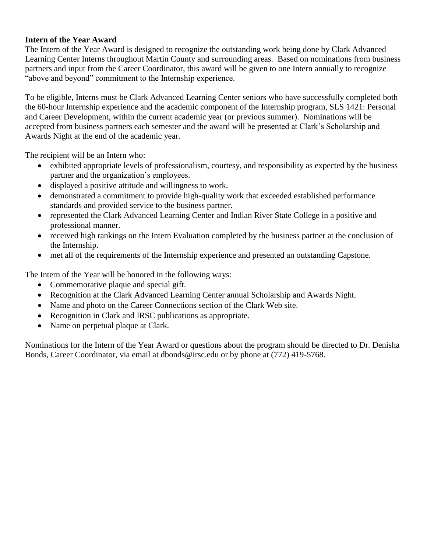## **Intern of the Year Award**

The Intern of the Year Award is designed to recognize the outstanding work being done by Clark Advanced Learning Center Interns throughout Martin County and surrounding areas. Based on nominations from business partners and input from the Career Coordinator, this award will be given to one Intern annually to recognize "above and beyond" commitment to the Internship experience.

To be eligible, Interns must be Clark Advanced Learning Center seniors who have successfully completed both the 60-hour Internship experience and the academic component of the Internship program, SLS 1421: Personal and Career Development, within the current academic year (or previous summer). Nominations will be accepted from business partners each semester and the award will be presented at Clark's Scholarship and Awards Night at the end of the academic year.

The recipient will be an Intern who:

- exhibited appropriate levels of professionalism, courtesy, and responsibility as expected by the business partner and the organization's employees.
- displayed a positive attitude and willingness to work.
- demonstrated a commitment to provide high-quality work that exceeded established performance standards and provided service to the business partner.
- represented the Clark Advanced Learning Center and Indian River State College in a positive and professional manner.
- received high rankings on the Intern Evaluation completed by the business partner at the conclusion of the Internship.
- met all of the requirements of the Internship experience and presented an outstanding Capstone.

The Intern of the Year will be honored in the following ways:

- Commemorative plaque and special gift.
- Recognition at the Clark Advanced Learning Center annual Scholarship and Awards Night.
- Name and photo on the Career Connections section of the Clark Web site.
- Recognition in Clark and IRSC publications as appropriate.
- Name on perpetual plaque at Clark.

Nominations for the Intern of the Year Award or questions about the program should be directed to Dr. Denisha Bonds, Career Coordinator, via email at dbonds@irsc.edu or by phone at (772) 419-5768.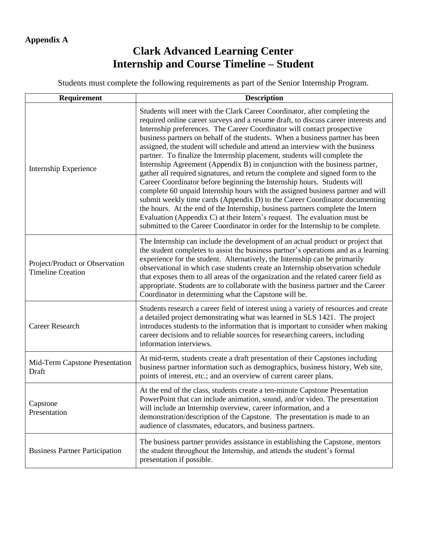## **Clark Advanced Learning Center Internship and Course Timeline – Student**

Students must complete the following requirements as part of the Senior Internship Program.

| Requirement                                                | <b>Description</b>                                                                                                                                                                                                                                                                                                                                                                                                                                                                                                                                                                                                                                                                                                                                                                                                                                                                                                                                                                                                                                                                                                                                         |  |  |  |
|------------------------------------------------------------|------------------------------------------------------------------------------------------------------------------------------------------------------------------------------------------------------------------------------------------------------------------------------------------------------------------------------------------------------------------------------------------------------------------------------------------------------------------------------------------------------------------------------------------------------------------------------------------------------------------------------------------------------------------------------------------------------------------------------------------------------------------------------------------------------------------------------------------------------------------------------------------------------------------------------------------------------------------------------------------------------------------------------------------------------------------------------------------------------------------------------------------------------------|--|--|--|
| Internship Experience                                      | Students will meet with the Clark Career Coordinator, after completing the<br>required online career surveys and a resume draft, to discuss career interests and<br>Internship preferences. The Career Coordinator will contact prospective<br>business partners on behalf of the students. When a business partner has been<br>assigned, the student will schedule and attend an interview with the business<br>partner. To finalize the Internship placement, students will complete the<br>Internship Agreement (Appendix B) in conjunction with the business partner,<br>gather all required signatures, and return the complete and signed form to the<br>Career Coordinator before beginning the Internship hours. Students will<br>complete 60 unpaid Internship hours with the assigned business partner and will<br>submit weekly time cards (Appendix D) to the Career Coordinator documenting<br>the hours. At the end of the Internship, business partners complete the Intern<br>Evaluation (Appendix C) at their Intern's request. The evaluation must be<br>submitted to the Career Coordinator in order for the Internship to be complete. |  |  |  |
| Project/Product or Observation<br><b>Timeline Creation</b> | The Internship can include the development of an actual product or project that<br>the student completes to assist the business partner's operations and as a learning<br>experience for the student. Alternatively, the Internship can be primarily<br>observational in which case students create an Internship observation schedule<br>that exposes them to all areas of the organization and the related career field as<br>appropriate. Students are to collaborate with the business partner and the Career<br>Coordinator in determining what the Capstone will be.                                                                                                                                                                                                                                                                                                                                                                                                                                                                                                                                                                                 |  |  |  |
| <b>Career Research</b>                                     | Students research a career field of interest using a variety of resources and create<br>a detailed project demonstrating what was learned in SLS 1421. The project<br>introduces students to the information that is important to consider when making<br>career decisions and to reliable sources for researching careers, including<br>information interviews.                                                                                                                                                                                                                                                                                                                                                                                                                                                                                                                                                                                                                                                                                                                                                                                           |  |  |  |
| Mid-Term Capstone Presentation<br>Draft                    | At mid-term, students create a draft presentation of their Capstones including<br>business partner information such as demographics, business history, Web site,<br>points of interest, etc.; and an overview of current career plans.                                                                                                                                                                                                                                                                                                                                                                                                                                                                                                                                                                                                                                                                                                                                                                                                                                                                                                                     |  |  |  |
| Capstone<br>Presentation                                   | At the end of the class, students create a ten-minute Capstone Presentation<br>PowerPoint that can include animation, sound, and/or video. The presentation<br>will include an Internship overview, career information, and a<br>demonstration/description of the Capstone. The presentation is made to an<br>audience of classmates, educators, and business partners.                                                                                                                                                                                                                                                                                                                                                                                                                                                                                                                                                                                                                                                                                                                                                                                    |  |  |  |
| <b>Business Partner Participation</b>                      | The business partner provides assistance in establishing the Capstone, mentors<br>the student throughout the Internship, and attends the student's formal<br>presentation if possible.                                                                                                                                                                                                                                                                                                                                                                                                                                                                                                                                                                                                                                                                                                                                                                                                                                                                                                                                                                     |  |  |  |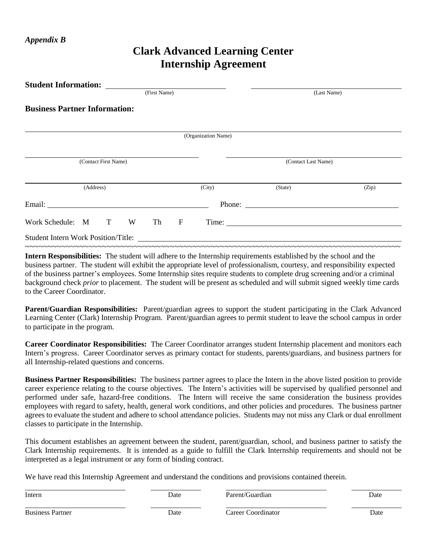## **Clark Advanced Learning Center Internship Agreement**

| <b>Student Information:</b>          |                     |                           |       |
|--------------------------------------|---------------------|---------------------------|-------|
|                                      | (First Name)        | (Last Name)               |       |
| <b>Business Partner Information:</b> |                     |                           |       |
|                                      | (Organization Name) |                           |       |
|                                      |                     |                           |       |
| (Contact First Name)                 |                     | (Contact Last Name)       |       |
| (Address)                            | (City)              | (State)                   | (Zip) |
|                                      |                     |                           |       |
| Work Schedule: M T<br>W              | $\mathbf F$<br>Th   | Time: $\frac{1}{2}$ Time: |       |
|                                      |                     |                           |       |

**Intern Responsibilities:** The student will adhere to the Internship requirements established by the school and the business partner. The student will exhibit the appropriate level of professionalism, courtesy, and responsibility expected of the business partner's employees. Some Internship sites require students to complete drug screening and/or a criminal background check *prior* to placement. The student will be present as scheduled and will submit signed weekly time cards to the Career Coordinator.

**Parent/Guardian Responsibilities:** Parent/guardian agrees to support the student participating in the Clark Advanced Learning Center (Clark) Internship Program. Parent/guardian agrees to permit student to leave the school campus in order to participate in the program.

**Career Coordinator Responsibilities:** The Career Coordinator arranges student Internship placement and monitors each Intern's progress. Career Coordinator serves as primary contact for students, parents/guardians, and business partners for all Internship-related questions and concerns.

**Business Partner Responsibilities:** The business partner agrees to place the Intern in the above listed position to provide career experience relating to the course objectives. The Intern's activities will be supervised by qualified personnel and performed under safe, hazard-free conditions. The Intern will receive the same consideration the business provides employees with regard to safety, health, general work conditions, and other policies and procedures. The business partner agrees to evaluate the student and adhere to school attendance policies. Students may not miss any Clark or dual enrollment classes to participate in the Internship.

This document establishes an agreement between the student, parent/guardian, school, and business partner to satisfy the Clark Internship requirements. It is intended as a guide to fulfill the Clark Internship requirements and should not be interpreted as a legal instrument or any form of binding contract.

We have read this Internship Agreement and understand the conditions and provisions contained therein.

| Intern                  | Date | Parent/Guardian    | Date |
|-------------------------|------|--------------------|------|
| <b>Business Partner</b> | Date | Career Coordinator | Date |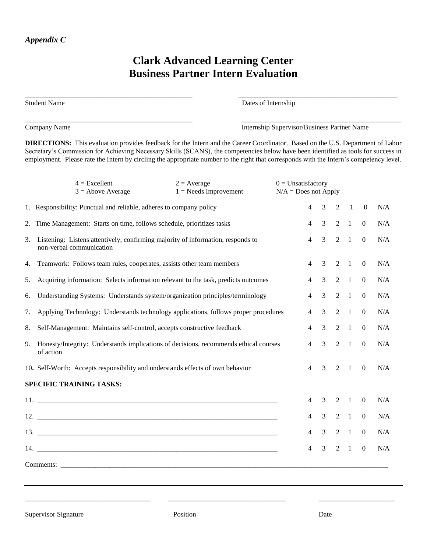## **Clark Advanced Learning Center Business Partner Intern Evaluation**

| <b>Student Name</b> | Dates of Internship |  |
|---------------------|---------------------|--|
|                     |                     |  |

Company Name Internship Supervisor/Business Partner Name

**DIRECTIONS:** This evaluation provides feedback for the Intern and the Career Coordinator. Based on the U.S. Department of Labor Secretary's Commission for Achieving Necessary Skills (SCANS), the competencies below have been identified as tools for success in employment. Please rate the Intern by circling the appropriate number to the right that corresponds with the Intern's competency level.

|    | $4 = Excellent$<br>$3 =$ Above Average                                                                      | $2 = Average$<br>$1 =$ Needs Improvement | $0 =$ Unsatisfactory<br>$N/A = Does not Apply$ |                |                |                |                |                  |     |
|----|-------------------------------------------------------------------------------------------------------------|------------------------------------------|------------------------------------------------|----------------|----------------|----------------|----------------|------------------|-----|
|    | 1. Responsibility: Punctual and reliable, adheres to company policy                                         |                                          |                                                | $\overline{4}$ | 3              | 2              | $\mathbf{1}$   | $\boldsymbol{0}$ | N/A |
| 2. | Time Management: Starts on time, follows schedule, prioritizes tasks                                        |                                          |                                                | $\overline{4}$ | 3              | $\overline{2}$ | $\overline{1}$ | $\boldsymbol{0}$ | N/A |
| 3. | Listening: Listens attentively, confirming majority of information, responds to<br>non-verbal communication |                                          |                                                | $\overline{4}$ | 3              | 2              | $\overline{1}$ | $\overline{0}$   | N/A |
| 4. | Teamwork: Follows team rules, cooperates, assists other team members                                        |                                          |                                                | $\overline{4}$ | 3              | 2              | $\overline{1}$ | $\theta$         | N/A |
| 5. | Acquiring information: Selects information relevant to the task, predicts outcomes                          |                                          |                                                | $\overline{4}$ | 3              | $2 \quad 1$    |                | $\theta$         | N/A |
| 6. | Understanding Systems: Understands system/organization principles/terminology                               |                                          |                                                | $\overline{4}$ | $\mathfrak{Z}$ | $2 \quad 1$    |                | $\boldsymbol{0}$ | N/A |
| 7. | Applying Technology: Understands technology applications, follows proper procedures                         |                                          |                                                |                | $\mathfrak{Z}$ | $2 \quad 1$    |                | $\mathbf{0}$     | N/A |
| 8. | Self-Management: Maintains self-control, accepts constructive feedback                                      |                                          |                                                |                | $\mathfrak{Z}$ |                | $2 \quad 1$    | $\mathbf{0}$     | N/A |
| 9. | Honesty/Integrity: Understands implications of decisions, recommends ethical courses<br>of action           |                                          |                                                | 4              | $\mathfrak{Z}$ | $2 \quad 1$    |                | $\mathbf{0}$     | N/A |
|    | 10. Self-Worth: Accepts responsibility and understands effects of own behavior                              |                                          |                                                | $\overline{4}$ | 3              | $2 \quad 1$    |                | $\Omega$         | N/A |
|    | SPECIFIC TRAINING TASKS:                                                                                    |                                          |                                                |                |                |                |                |                  |     |
|    |                                                                                                             |                                          |                                                | 4              | 3              | 2              | $\overline{1}$ | $\Omega$         | N/A |
|    | $12.$ $\overline{\phantom{a}}$                                                                              |                                          |                                                | 4              | $\overline{3}$ | 2              | $\overline{1}$ | $\overline{0}$   | N/A |
|    | $13. \_$                                                                                                    |                                          |                                                | 4              | 3              | 2              | $\overline{1}$ | $\theta$         | N/A |
|    |                                                                                                             |                                          |                                                | 4              | 3              | 2              | $\mathbf{1}$   | $\boldsymbol{0}$ | N/A |
|    |                                                                                                             |                                          |                                                |                |                |                |                |                  |     |

\_\_\_\_\_\_\_\_\_\_\_\_\_\_\_\_\_\_\_\_\_\_\_\_\_\_\_\_\_\_\_\_\_\_\_\_ \_\_\_\_\_\_\_\_\_\_\_\_\_\_\_\_\_\_\_\_\_\_\_\_\_\_\_\_\_\_\_\_\_\_ \_\_\_\_\_\_\_\_\_\_\_\_\_\_\_\_\_\_\_\_\_\_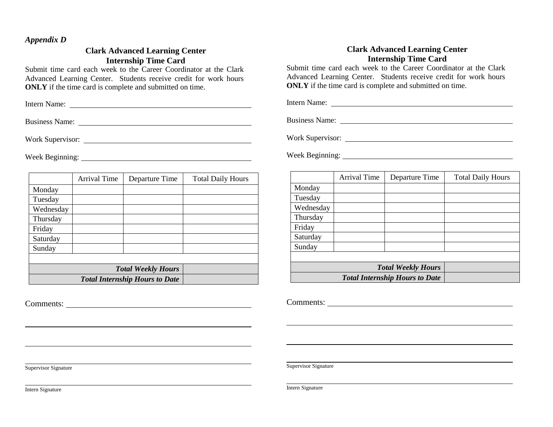#### *Appendix D*

#### **Clark Advanced Learning Center Internship Time Card**

Submit time card each week to the Career Coordinator at the Clark Advanced Learning Center. Students receive credit for work hours **ONLY** if the time card is complete and submitted on time.

Intern Name:

Business Name: 2008. [2016] The Summary Service State of the Summary Service State of the Summary Service State State of the Summary Service State State State State State State State State State State State State State Sta

Work Supervisor:

Week Beginning:

|                           | <b>Arrival Time</b>                   | Departure Time | <b>Total Daily Hours</b> |  |  |  |
|---------------------------|---------------------------------------|----------------|--------------------------|--|--|--|
| Monday                    |                                       |                |                          |  |  |  |
| Tuesday                   |                                       |                |                          |  |  |  |
| Wednesday                 |                                       |                |                          |  |  |  |
| Thursday                  |                                       |                |                          |  |  |  |
| Friday                    |                                       |                |                          |  |  |  |
| Saturday                  |                                       |                |                          |  |  |  |
| Sunday                    |                                       |                |                          |  |  |  |
|                           |                                       |                |                          |  |  |  |
| <b>Total Weekly Hours</b> |                                       |                |                          |  |  |  |
|                           | <b>Total Internship Hours to Date</b> |                |                          |  |  |  |

Comments:

#### **Clark Advanced Learning Center Internship Time Card**

Submit time card each week to the Career Coordinator at the Clark Advanced Learning Center. Students receive credit for work hours **ONLY** if the time card is complete and submitted on time.

Intern Name:

Business Name:

Work Supervisor:

Week Beginning:

|                           | Arrival Time                          | Departure Time | <b>Total Daily Hours</b> |  |  |  |
|---------------------------|---------------------------------------|----------------|--------------------------|--|--|--|
| Monday                    |                                       |                |                          |  |  |  |
| Tuesday                   |                                       |                |                          |  |  |  |
| Wednesday                 |                                       |                |                          |  |  |  |
| Thursday                  |                                       |                |                          |  |  |  |
| Friday                    |                                       |                |                          |  |  |  |
| Saturday                  |                                       |                |                          |  |  |  |
| Sunday                    |                                       |                |                          |  |  |  |
|                           |                                       |                |                          |  |  |  |
| <b>Total Weekly Hours</b> |                                       |                |                          |  |  |  |
|                           | <b>Total Internship Hours to Date</b> |                |                          |  |  |  |

Comments:

Supervisor Signature

Intern Signature

Supervisor Signature

Intern Signature